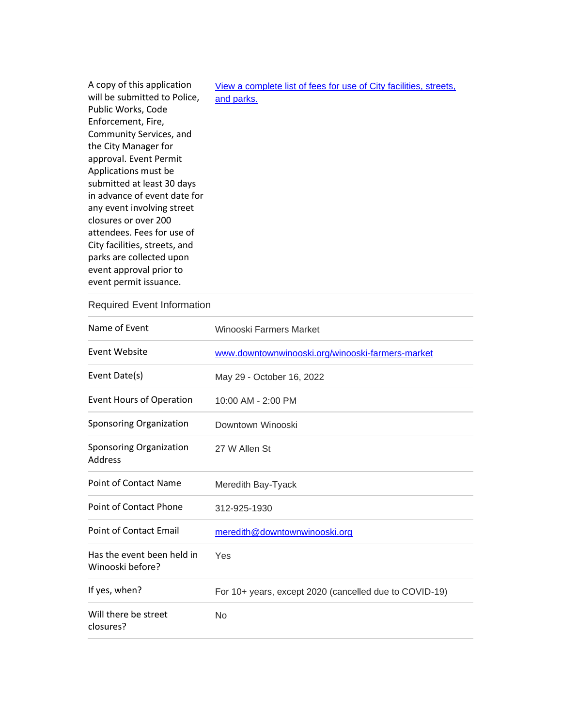| View a complete list of fees for use of City facilities, streets, |
|-------------------------------------------------------------------|
| and parks.                                                        |
|                                                                   |
|                                                                   |
|                                                                   |
|                                                                   |
|                                                                   |
|                                                                   |
|                                                                   |
|                                                                   |
|                                                                   |
|                                                                   |
|                                                                   |
|                                                                   |
|                                                                   |
|                                                                   |
|                                                                   |
|                                                                   |

## Required Event Information

| Name of Event                                  | Winooski Farmers Market                                |
|------------------------------------------------|--------------------------------------------------------|
| Event Website                                  | www.downtownwinooski.org/winooski-farmers-market       |
| Event Date(s)                                  | May 29 - October 16, 2022                              |
| <b>Event Hours of Operation</b>                | 10:00 AM - 2:00 PM                                     |
| Sponsoring Organization                        | Downtown Winooski                                      |
| <b>Sponsoring Organization</b><br>Address      | 27 W Allen St                                          |
| <b>Point of Contact Name</b>                   | Meredith Bay-Tyack                                     |
| <b>Point of Contact Phone</b>                  | 312-925-1930                                           |
| <b>Point of Contact Email</b>                  | meredith@downtownwinooski.org                          |
| Has the event been held in<br>Winooski before? | Yes                                                    |
| If yes, when?                                  | For 10+ years, except 2020 (cancelled due to COVID-19) |
| Will there be street<br>closures?              | No                                                     |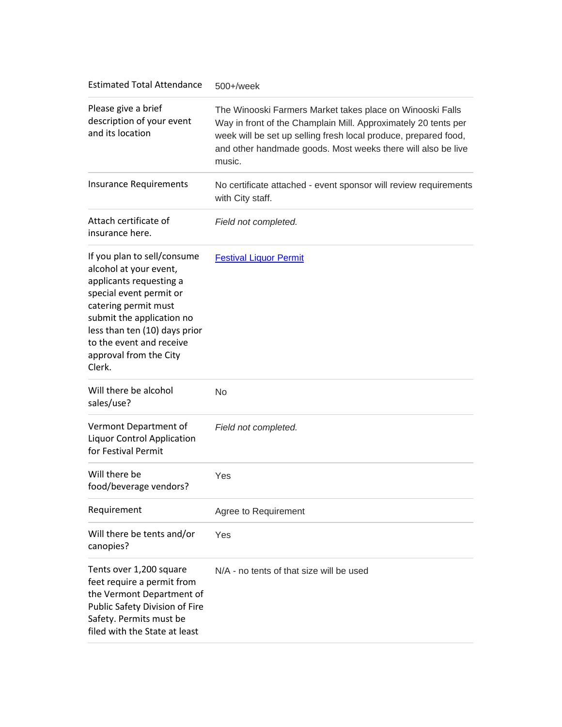| <b>Estimated Total Attendance</b>                                                                                                                                                                                                                                 | $500+$ /week                                                                                                                                                                                                                                                             |
|-------------------------------------------------------------------------------------------------------------------------------------------------------------------------------------------------------------------------------------------------------------------|--------------------------------------------------------------------------------------------------------------------------------------------------------------------------------------------------------------------------------------------------------------------------|
| Please give a brief<br>description of your event<br>and its location                                                                                                                                                                                              | The Winooski Farmers Market takes place on Winooski Falls<br>Way in front of the Champlain Mill. Approximately 20 tents per<br>week will be set up selling fresh local produce, prepared food,<br>and other handmade goods. Most weeks there will also be live<br>music. |
| <b>Insurance Requirements</b>                                                                                                                                                                                                                                     | No certificate attached - event sponsor will review requirements<br>with City staff.                                                                                                                                                                                     |
| Attach certificate of<br>insurance here.                                                                                                                                                                                                                          | Field not completed.                                                                                                                                                                                                                                                     |
| If you plan to sell/consume<br>alcohol at your event,<br>applicants requesting a<br>special event permit or<br>catering permit must<br>submit the application no<br>less than ten (10) days prior<br>to the event and receive<br>approval from the City<br>Clerk. | <b>Festival Liquor Permit</b>                                                                                                                                                                                                                                            |
| Will there be alcohol<br>sales/use?                                                                                                                                                                                                                               | No                                                                                                                                                                                                                                                                       |
| Vermont Department of<br><b>Liquor Control Application</b><br>for Festival Permit                                                                                                                                                                                 | Field not completed.                                                                                                                                                                                                                                                     |
| Will there be<br>food/beverage vendors?                                                                                                                                                                                                                           | Yes                                                                                                                                                                                                                                                                      |
| Requirement                                                                                                                                                                                                                                                       | Agree to Requirement                                                                                                                                                                                                                                                     |
| Will there be tents and/or<br>canopies?                                                                                                                                                                                                                           | Yes                                                                                                                                                                                                                                                                      |
| Tents over 1,200 square<br>feet require a permit from<br>the Vermont Department of<br>Public Safety Division of Fire<br>Safety. Permits must be<br>filed with the State at least                                                                                  | N/A - no tents of that size will be used                                                                                                                                                                                                                                 |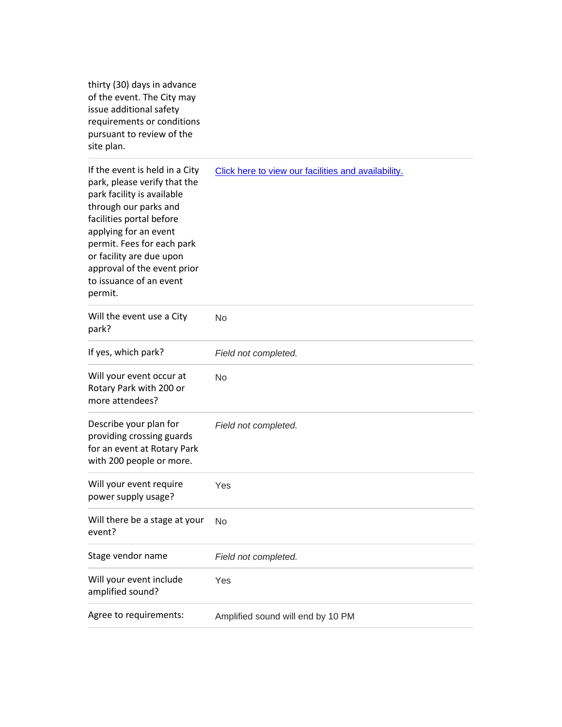thirty (30) days in advance of the event. The City may issue additional safety requirements or conditions pursuant to review of the site plan.

| If the event is held in a City<br>park, please verify that the<br>park facility is available<br>through our parks and<br>facilities portal before<br>applying for an event<br>permit. Fees for each park<br>or facility are due upon<br>approval of the event prior<br>to issuance of an event<br>permit. | Click here to view our facilities and availability. |
|-----------------------------------------------------------------------------------------------------------------------------------------------------------------------------------------------------------------------------------------------------------------------------------------------------------|-----------------------------------------------------|
| Will the event use a City<br>park?                                                                                                                                                                                                                                                                        | No                                                  |
| If yes, which park?                                                                                                                                                                                                                                                                                       | Field not completed.                                |
| Will your event occur at<br>Rotary Park with 200 or<br>more attendees?                                                                                                                                                                                                                                    | <b>No</b>                                           |
| Describe your plan for<br>providing crossing guards<br>for an event at Rotary Park<br>with 200 people or more.                                                                                                                                                                                            | Field not completed.                                |
| Will your event require<br>power supply usage?                                                                                                                                                                                                                                                            | Yes                                                 |
| Will there be a stage at your<br>event?                                                                                                                                                                                                                                                                   | No                                                  |
| Stage vendor name                                                                                                                                                                                                                                                                                         | Field not completed.                                |
| Will your event include<br>amplified sound?                                                                                                                                                                                                                                                               | Yes                                                 |
| Agree to requirements:                                                                                                                                                                                                                                                                                    | Amplified sound will end by 10 PM                   |